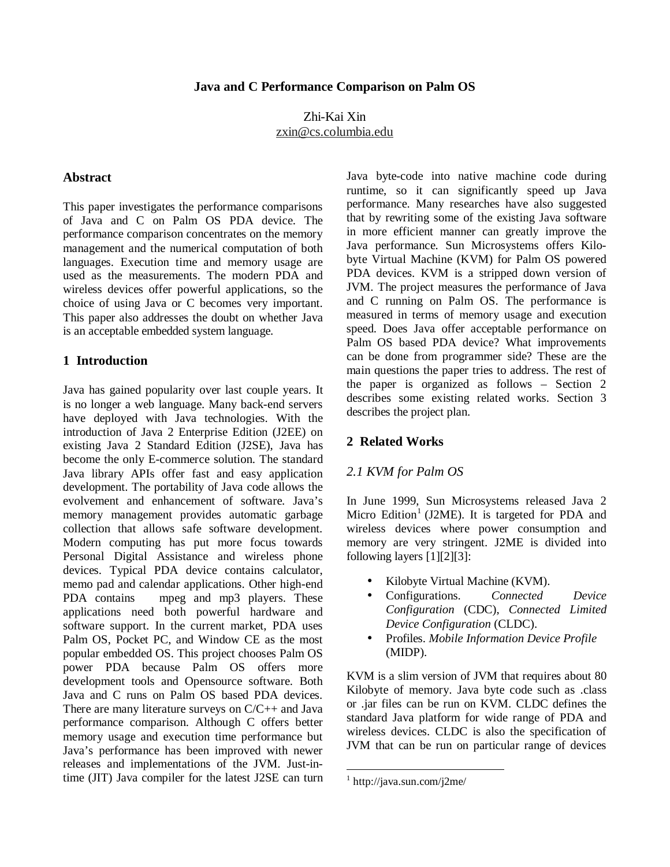## Zhi-Kai Xin zxin@cs.columbia.edu

#### **Abstract**

This paper investigates the performance comparisons of Java and C on Palm OS PDA device. The performance comparison concentrates on the memory management and the numerical computation of both languages. Execution time and memory usage are used as the measurements. The modern PDA and wireless devices offer powerful applications, so the choice of using Java or C becomes very important. This paper also addresses the doubt on whether Java is an acceptable embedded system language.

### **1 Introduction**

Java has gained popularity over last couple years. It is no longer a web language. Many back-end servers have deployed with Java technologies. With the introduction of Java 2 Enterprise Edition (J2EE) on existing Java 2 Standard Edition (J2SE), Java has become the only E-commerce solution. The standard Java library APIs offer fast and easy application development. The portability of Java code allows the evolvement and enhancement of software. Java's memory management provides automatic garbage collection that allows safe software development. Modern computing has put more focus towards Personal Digital Assistance and wireless phone devices. Typical PDA device contains calculator, memo pad and calendar applications. Other high-end PDA contains mpeg and mp3 players. These applications need both powerful hardware and software support. In the current market, PDA uses Palm OS, Pocket PC, and Window CE as the most popular embedded OS. This project chooses Palm OS power PDA because Palm OS offers more development tools and Opensource software. Both Java and C runs on Palm OS based PDA devices. There are many literature surveys on C/C++ and Java performance comparison. Although C offers better memory usage and execution time performance but Java's performance has been improved with newer releases and implementations of the JVM. Just-intime (JIT) Java compiler for the latest J2SE can turn Java byte-code into native machine code during runtime, so it can significantly speed up Java performance. Many researches have also suggested that by rewriting some of the existing Java software in more efficient manner can greatly improve the Java performance. Sun Microsystems offers Kilobyte Virtual Machine (KVM) for Palm OS powered PDA devices. KVM is a stripped down version of JVM. The project measures the performance of Java and C running on Palm OS. The performance is measured in terms of memory usage and execution speed. Does Java offer acceptable performance on Palm OS based PDA device? What improvements can be done from programmer side? These are the main questions the paper tries to address. The rest of the paper is organized as follows – Section 2 describes some existing related works. Section 3 describes the project plan.

#### **2 Related Works**

#### *2.1 KVM for Palm OS*

In June 1999, Sun Microsystems released Java 2 Micro Edition<sup>1</sup> (J2ME). It is targeted for PDA and wireless devices where power consumption and memory are very stringent. J2ME is divided into following layers [1][2][3]:

- Kilobyte Virtual Machine (KVM).
- Configurations. *Connected Device Configuration* (CDC), *Connected Limited Device Configuration* (CLDC).
- Profiles. *Mobile Information Device Profile* (MIDP).

KVM is a slim version of JVM that requires about 80 Kilobyte of memory. Java byte code such as .class or .jar files can be run on KVM. CLDC defines the standard Java platform for wide range of PDA and wireless devices. CLDC is also the specification of JVM that can be run on particular range of devices

<sup>1</sup> http://java.sun.com/j2me/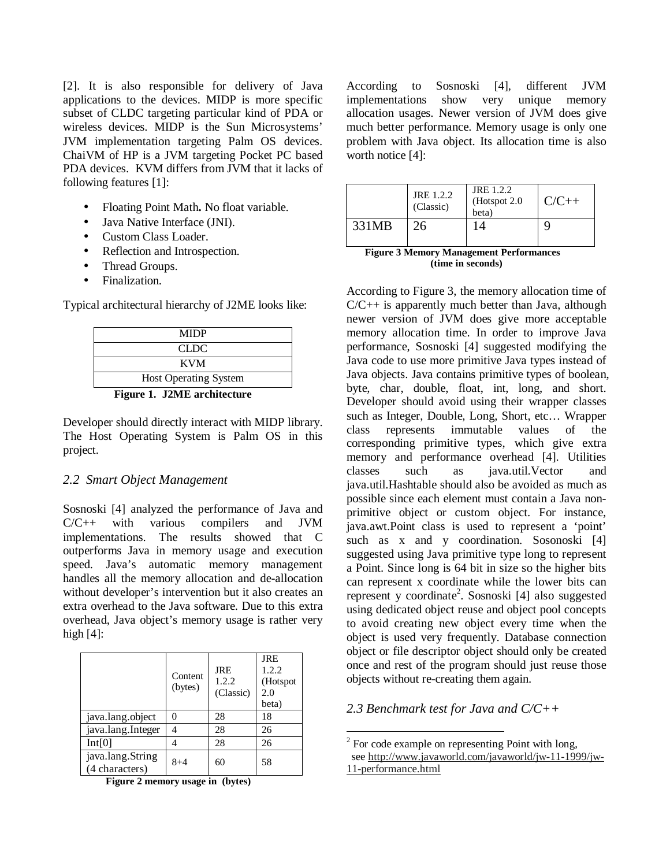[2]. It is also responsible for delivery of Java applications to the devices. MIDP is more specific subset of CLDC targeting particular kind of PDA or wireless devices. MIDP is the Sun Microsystems' JVM implementation targeting Palm OS devices. ChaiVM of HP is a JVM targeting Pocket PC based PDA devices. KVM differs from JVM that it lacks of following features [1]:

- Floating Point Math**.** No float variable.
- Java Native Interface (JNI).
- Custom Class Loader.
- Reflection and Introspection.
- Thread Groups.
- Finalization.

Typical architectural hierarchy of J2ME looks like:

| Figure 1 - JOME architecture |  |  |
|------------------------------|--|--|
| <b>Host Operating System</b> |  |  |
| <b>KVM</b>                   |  |  |
| CLDC.                        |  |  |
| <b>MIDP</b>                  |  |  |
|                              |  |  |

**Figure 1. J2ME architecture**

Developer should directly interact with MIDP library. The Host Operating System is Palm OS in this project.

### *2.2 Smart Object Management*

Sosnoski [4] analyzed the performance of Java and C/C++ with various compilers and JVM implementations. The results showed that C outperforms Java in memory usage and execution speed. Java's automatic memory management handles all the memory allocation and de-allocation without developer's intervention but it also creates an extra overhead to the Java software. Due to this extra overhead, Java object's memory usage is rather very high  $[4]$ :

|                                    | Content<br>(bytes) | <b>JRE</b><br>1.2.2<br>(Classic) | <b>JRE</b><br>1.2.2<br>(Hotspot<br>2.0<br>beta) |
|------------------------------------|--------------------|----------------------------------|-------------------------------------------------|
| java.lang.object                   | 0                  | 28                               | 18                                              |
| java.lang.Integer                  | 4                  | 28                               | 26                                              |
| Int[0]                             |                    | 28                               | 26                                              |
| java.lang.String<br>(4 characters) | $8 + 4$            | 60                               | 58                                              |

**Figure 2 memory usage in (bytes)**

According to Sosnoski [4], different JVM implementations show very unique memory allocation usages. Newer version of JVM does give much better performance. Memory usage is only one problem with Java object. Its allocation time is also worth notice [4]:

|       | JRE 1.2.2<br>(Classic) | JRE 1.2.2<br>(Hotspot $2.0$ )<br>beta) | $C/C++$ |
|-------|------------------------|----------------------------------------|---------|
| 331MB | 26                     | 14                                     |         |

| <b>Figure 3 Memory Management Performances</b> |
|------------------------------------------------|
| (time in seconds)                              |

According to Figure 3, the memory allocation time of  $C/C++$  is apparently much better than Java, although newer version of JVM does give more acceptable memory allocation time. In order to improve Java performance, Sosnoski [4] suggested modifying the Java code to use more primitive Java types instead of Java objects. Java contains primitive types of boolean, byte, char, double, float, int, long, and short. Developer should avoid using their wrapper classes such as Integer, Double, Long, Short, etc… Wrapper class represents immutable values of the corresponding primitive types, which give extra memory and performance overhead [4]. Utilities classes such as java.util.Vector and java.util.Hashtable should also be avoided as much as possible since each element must contain a Java nonprimitive object or custom object. For instance, java.awt.Point class is used to represent a 'point' such as x and y coordination. Sosonoski [4] suggested using Java primitive type long to represent a Point. Since long is 64 bit in size so the higher bits can represent x coordinate while the lower bits can represent y coordinate 2 . Sosnoski [4] also suggested using dedicated object reuse and object pool concepts to avoid creating new object every time when the object is used very frequently. Database connection object or file descriptor object should only be created once and rest of the program should just reuse those objects without re-creating them again.

## *2.3 Benchmark test for Java and C/C++*

 $2^2$  For code example on representing Point with long, see http://www.javaworld.com/javaworld/jw-11-1999/jw-11-performance.html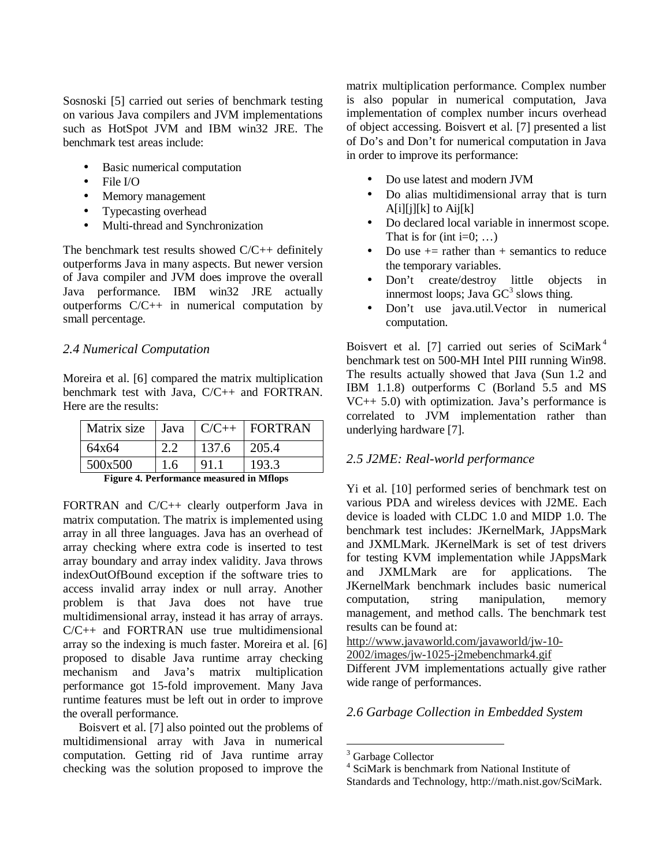Sosnoski [5] carried out series of benchmark testing on various Java compilers and JVM implementations such as HotSpot JVM and IBM win32 JRE. The benchmark test areas include:

- Basic numerical computation
- File I/O
- Memory management
- Typecasting overhead
- Multi-thread and Synchronization

The benchmark test results showed C/C++ definitely outperforms Java in many aspects. But newer version of Java compiler and JVM does improve the overall Java performance. IBM win32 JRE actually outperforms C/C++ in numerical computation by small percentage.

### *2.4 Numerical Computation*

Moreira et al. [6] compared the matrix multiplication benchmark test with Java, C/C++ and FORTRAN. Here are the results:

| Matrix size | Java      |       | $ C/C_{++} $ FORTRAN |
|-------------|-----------|-------|----------------------|
| 64x64       |           | 137.6 | 205.4                |
| 500x500     | 1.6       | 91.1  | 193.3                |
| --<br>. -   | $\bullet$ |       | $- - -$              |

**Figure 4. Performance measured in Mflops**

FORTRAN and C/C++ clearly outperform Java in matrix computation. The matrix is implemented using array in all three languages. Java has an overhead of array checking where extra code is inserted to test array boundary and array index validity. Java throws indexOutOfBound exception if the software tries to access invalid array index or null array. Another problem is that Java does not have true multidimensional array, instead it has array of arrays. C/C++ and FORTRAN use true multidimensional array so the indexing is much faster. Moreira et al. [6] proposed to disable Java runtime array checking mechanism and Java's matrix multiplication performance got 15-fold improvement. Many Java runtime features must be left out in order to improve the overall performance.

Boisvert et al. [7] also pointed out the problems of multidimensional array with Java in numerical computation. Getting rid of Java runtime array checking was the solution proposed to improve the matrix multiplication performance. Complex number is also popular in numerical computation, Java implementation of complex number incurs overhead of object accessing. Boisvert et al. [7] presented a list of Do's and Don't for numerical computation in Java in order to improve its performance:

- Do use latest and modern JVM
- Do alias multidimensional array that is turn  $A[i][j][k]$  to  $Aij[k]$
- Do declared local variable in innermost scope. That is for (int  $i=0$ ; ...)
- Do use  $+$  = rather than  $+$  semantics to reduce the temporary variables.
- Don't create/destroy little objects in innermost loops; Java GC<sup>3</sup> slows thing.
- Don't use java.util.Vector in numerical computation.

Boisvert et al. [7] carried out series of SciMark<sup>4</sup> benchmark test on 500-MH Intel PIII running Win98. The results actually showed that Java (Sun 1.2 and IBM 1.1.8) outperforms C (Borland 5.5 and MS  $VC++ 5.0$ ) with optimization. Java's performance is correlated to JVM implementation rather than underlying hardware [7].

### *2.5 J2ME: Real-world performance*

Yi et al. [10] performed series of benchmark test on various PDA and wireless devices with J2ME. Each device is loaded with CLDC 1.0 and MIDP 1.0. The benchmark test includes: JKernelMark, JAppsMark and JXMLMark. JKernelMark is set of test drivers for testing KVM implementation while JAppsMark and JXMLMark are for applications. The JKernelMark benchmark includes basic numerical computation, string manipulation, memory management, and method calls. The benchmark test results can be found at:

http://www.javaworld.com/javaworld/jw-10-

2002/images/jw-1025-j2mebenchmark4.gif

Different JVM implementations actually give rather wide range of performances.

## *2.6 Garbage Collection in Embedded System*

<sup>&</sup>lt;sup>3</sup> Garbage Collector

<sup>4</sup> SciMark is benchmark from National Institute of Standards and Technology, http://math.nist.gov/SciMark.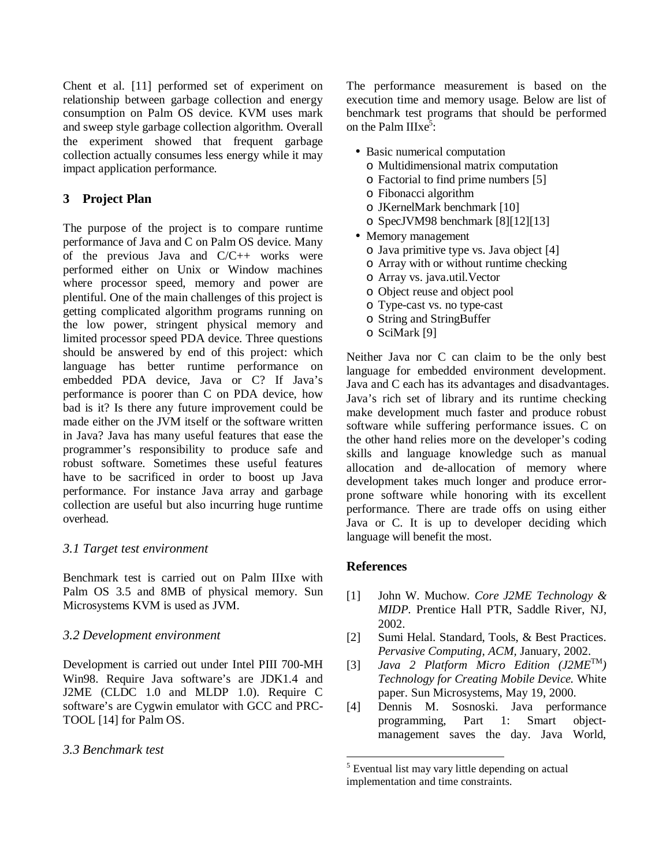Chent et al. [11] performed set of experiment on relationship between garbage collection and energy consumption on Palm OS device. KVM uses mark and sweep style garbage collection algorithm. Overall the experiment showed that frequent garbage collection actually consumes less energy while it may impact application performance.

# **3 Project Plan**

The purpose of the project is to compare runtime performance of Java and C on Palm OS device. Many of the previous Java and C/C++ works were performed either on Unix or Window machines where processor speed, memory and power are plentiful. One of the main challenges of this project is getting complicated algorithm programs running on the low power, stringent physical memory and limited processor speed PDA device. Three questions should be answered by end of this project: which language has better runtime performance on embedded PDA device, Java or C? If Java's performance is poorer than C on PDA device, how bad is it? Is there any future improvement could be made either on the JVM itself or the software written in Java? Java has many useful features that ease the programmer's responsibility to produce safe and robust software. Sometimes these useful features have to be sacrificed in order to boost up Java performance. For instance Java array and garbage collection are useful but also incurring huge runtime overhead.

## *3.1 Target test environment*

Benchmark test is carried out on Palm IIIxe with Palm OS 3.5 and 8MB of physical memory. Sun Microsystems KVM is used as JVM.

## *3.2 Development environment*

Development is carried out under Intel PIII 700-MH Win98. Require Java software's are JDK1.4 and J2ME (CLDC 1.0 and MLDP 1.0). Require C software's are Cygwin emulator with GCC and PRC-TOOL [14] for Palm OS.

## *3.3 Benchmark test*

The performance measurement is based on the execution time and memory usage. Below are list of benchmark test programs that should be performed on the Palm  $IIIxe<sup>3</sup>$ :

- Basic numerical computation
	- o Multidimensional matrix computation
	- o Factorial to find prime numbers [5]
	- o Fibonacci algorithm
	- o JKernelMark benchmark [10]
	- o SpecJVM98 benchmark [8][12][13]
- Memory management
	- o Java primitive type vs. Java object [4]
	- o Array with or without runtime checking
	- o Array vs. java.util.Vector
	- o Object reuse and object pool
	- o Type-cast vs. no type-cast
	- o String and StringBuffer
	- o SciMark [9]

Neither Java nor C can claim to be the only best language for embedded environment development. Java and C each has its advantages and disadvantages. Java's rich set of library and its runtime checking make development much faster and produce robust software while suffering performance issues. C on the other hand relies more on the developer's coding skills and language knowledge such as manual allocation and de-allocation of memory where development takes much longer and produce errorprone software while honoring with its excellent performance. There are trade offs on using either Java or C. It is up to developer deciding which language will benefit the most.

## **References**

- [1] John W. Muchow. *Core J2ME Technology & MIDP*. Prentice Hall PTR, Saddle River, NJ, 2002.
- [2] Sumi Helal. Standard, Tools, & Best Practices. *Pervasive Computing, ACM,* January, 2002.
- [3] *Java 2 Platform Micro Edition (J2ME* TM *) Technology for Creating Mobile Device.* White paper. Sun Microsystems, May 19, 2000.
- [4] Dennis M. Sosnoski. Java performance programming, Part 1: Smart objectmanagement saves the day. Java World,

<sup>5</sup> Eventual list may vary little depending on actual implementation and time constraints.